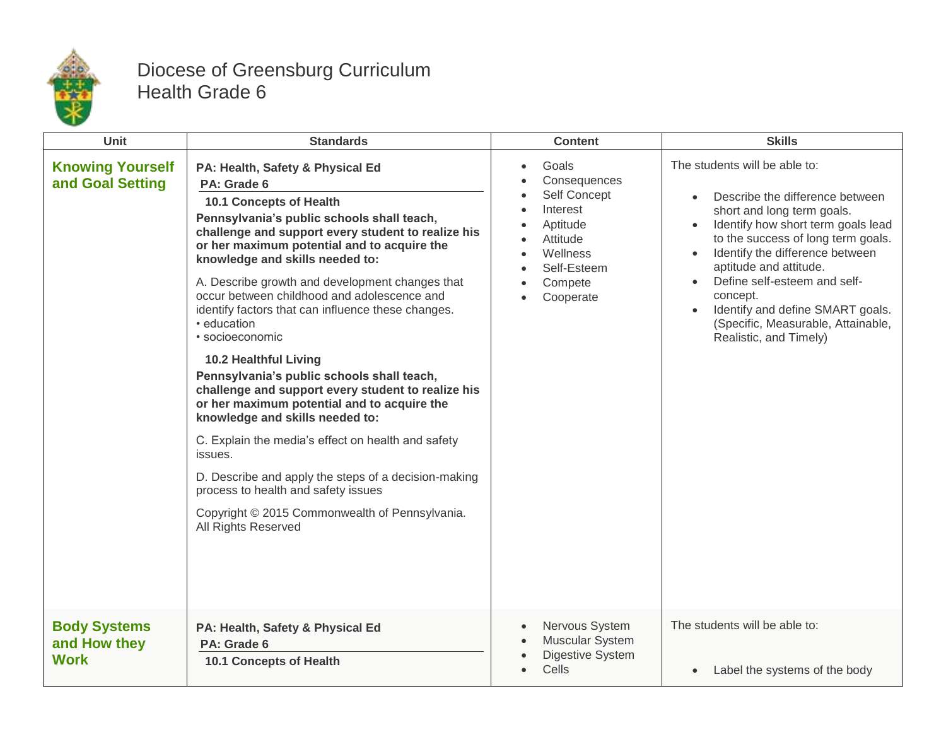

## Diocese of Greensburg Curriculum Health Grade 6

| Unit                                               | <b>Standards</b>                                                                                                                                                                                                                                                                                                                                                                                                                                                                                                                                                                                                                                                                                                                                                                                                                                                                                                   | <b>Content</b>                                                                                                               | <b>Skills</b>                                                                                                                                                                                                                                                                                                                                                                                        |
|----------------------------------------------------|--------------------------------------------------------------------------------------------------------------------------------------------------------------------------------------------------------------------------------------------------------------------------------------------------------------------------------------------------------------------------------------------------------------------------------------------------------------------------------------------------------------------------------------------------------------------------------------------------------------------------------------------------------------------------------------------------------------------------------------------------------------------------------------------------------------------------------------------------------------------------------------------------------------------|------------------------------------------------------------------------------------------------------------------------------|------------------------------------------------------------------------------------------------------------------------------------------------------------------------------------------------------------------------------------------------------------------------------------------------------------------------------------------------------------------------------------------------------|
| <b>Knowing Yourself</b><br>and Goal Setting        | PA: Health, Safety & Physical Ed<br>PA: Grade 6<br>10.1 Concepts of Health<br>Pennsylvania's public schools shall teach,<br>challenge and support every student to realize his<br>or her maximum potential and to acquire the<br>knowledge and skills needed to:<br>A. Describe growth and development changes that<br>occur between childhood and adolescence and<br>identify factors that can influence these changes.<br>• education<br>• socioeconomic<br>10.2 Healthful Living<br>Pennsylvania's public schools shall teach,<br>challenge and support every student to realize his<br>or her maximum potential and to acquire the<br>knowledge and skills needed to:<br>C. Explain the media's effect on health and safety<br>issues.<br>D. Describe and apply the steps of a decision-making<br>process to health and safety issues<br>Copyright © 2015 Commonwealth of Pennsylvania.<br>All Rights Reserved | Goals<br>Consequences<br>Self Concept<br>Interest<br>Aptitude<br>Attitude<br>Wellness<br>Self-Esteem<br>Compete<br>Cooperate | The students will be able to:<br>Describe the difference between<br>short and long term goals.<br>Identify how short term goals lead<br>to the success of long term goals.<br>Identify the difference between<br>$\bullet$<br>aptitude and attitude.<br>Define self-esteem and self-<br>concept.<br>Identify and define SMART goals.<br>(Specific, Measurable, Attainable,<br>Realistic, and Timely) |
| <b>Body Systems</b><br>and How they<br><b>Work</b> | PA: Health, Safety & Physical Ed<br>PA: Grade 6<br><b>10.1 Concepts of Health</b>                                                                                                                                                                                                                                                                                                                                                                                                                                                                                                                                                                                                                                                                                                                                                                                                                                  | Nervous System<br>Muscular System<br><b>Digestive System</b><br>Cells                                                        | The students will be able to:<br>Label the systems of the body<br>$\bullet$                                                                                                                                                                                                                                                                                                                          |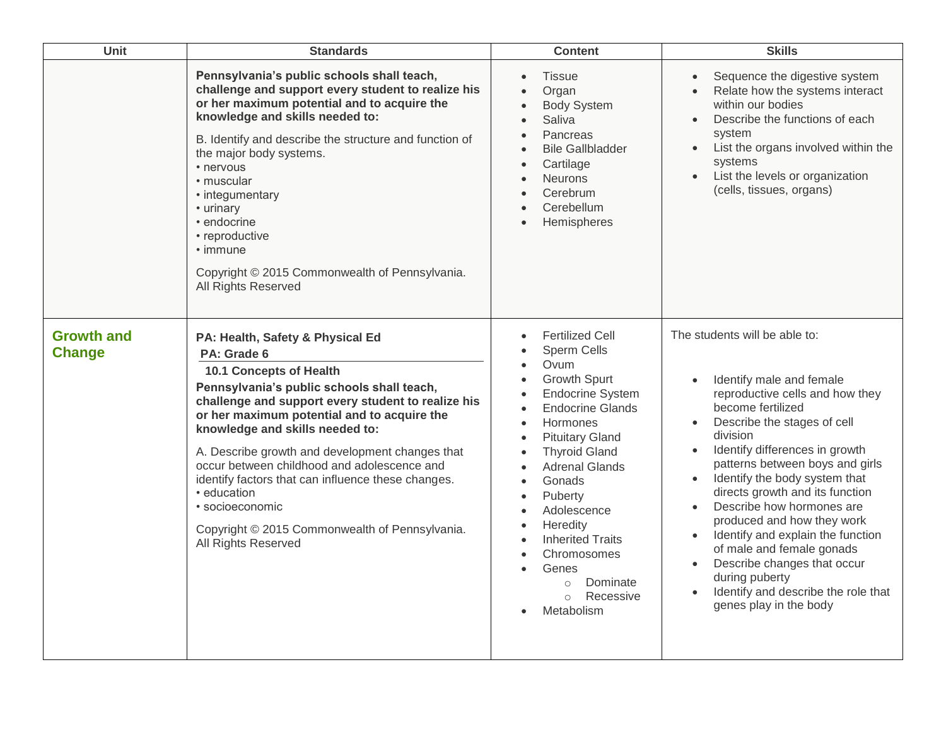| Unit                               | <b>Standards</b>                                                                                                                                                                                                                                                                                                                                                                                                                                                                                                                    | <b>Content</b>                                                                                                                                                                                                                                                                                                                                                                                       | <b>Skills</b>                                                                                                                                                                                                                                                                                                                                                                                                                                                                                                                                                                                                                                   |
|------------------------------------|-------------------------------------------------------------------------------------------------------------------------------------------------------------------------------------------------------------------------------------------------------------------------------------------------------------------------------------------------------------------------------------------------------------------------------------------------------------------------------------------------------------------------------------|------------------------------------------------------------------------------------------------------------------------------------------------------------------------------------------------------------------------------------------------------------------------------------------------------------------------------------------------------------------------------------------------------|-------------------------------------------------------------------------------------------------------------------------------------------------------------------------------------------------------------------------------------------------------------------------------------------------------------------------------------------------------------------------------------------------------------------------------------------------------------------------------------------------------------------------------------------------------------------------------------------------------------------------------------------------|
|                                    | Pennsylvania's public schools shall teach,<br>challenge and support every student to realize his<br>or her maximum potential and to acquire the<br>knowledge and skills needed to:<br>B. Identify and describe the structure and function of<br>the major body systems.<br>• nervous<br>• muscular<br>• integumentary<br>• urinary<br>• endocrine<br>• reproductive<br>• immune<br>Copyright © 2015 Commonwealth of Pennsylvania.<br>All Rights Reserved                                                                            | <b>Tissue</b><br>Organ<br><b>Body System</b><br>$\bullet$<br>Saliva<br>Pancreas<br><b>Bile Gallbladder</b><br>Cartilage<br>Neurons<br>Cerebrum<br>Cerebellum<br>Hemispheres                                                                                                                                                                                                                          | Sequence the digestive system<br>$\bullet$<br>Relate how the systems interact<br>within our bodies<br>Describe the functions of each<br>$\bullet$<br>system<br>List the organs involved within the<br>$\bullet$<br>systems<br>List the levels or organization<br>$\bullet$<br>(cells, tissues, organs)                                                                                                                                                                                                                                                                                                                                          |
| <b>Growth and</b><br><b>Change</b> | PA: Health, Safety & Physical Ed<br>PA: Grade 6<br>10.1 Concepts of Health<br>Pennsylvania's public schools shall teach,<br>challenge and support every student to realize his<br>or her maximum potential and to acquire the<br>knowledge and skills needed to:<br>A. Describe growth and development changes that<br>occur between childhood and adolescence and<br>identify factors that can influence these changes.<br>• education<br>· socioeconomic<br>Copyright © 2015 Commonwealth of Pennsylvania.<br>All Rights Reserved | <b>Fertilized Cell</b><br>Sperm Cells<br>Ovum<br>Growth Spurt<br><b>Endocrine System</b><br><b>Endocrine Glands</b><br>Hormones<br><b>Pituitary Gland</b><br><b>Thyroid Gland</b><br>$\bullet$<br><b>Adrenal Glands</b><br>Gonads<br>Puberty<br>Adolescence<br>Heredity<br><b>Inherited Traits</b><br>Chromosomes<br>Genes<br>$\bullet$<br>Dominate<br>$\circ$<br>Recessive<br>$\circ$<br>Metabolism | The students will be able to:<br>Identify male and female<br>$\bullet$<br>reproductive cells and how they<br>become fertilized<br>Describe the stages of cell<br>$\bullet$<br>division<br>Identify differences in growth<br>$\bullet$<br>patterns between boys and girls<br>Identify the body system that<br>$\bullet$<br>directs growth and its function<br>Describe how hormones are<br>$\bullet$<br>produced and how they work<br>Identify and explain the function<br>$\bullet$<br>of male and female gonads<br>Describe changes that occur<br>$\bullet$<br>during puberty<br>Identify and describe the role that<br>genes play in the body |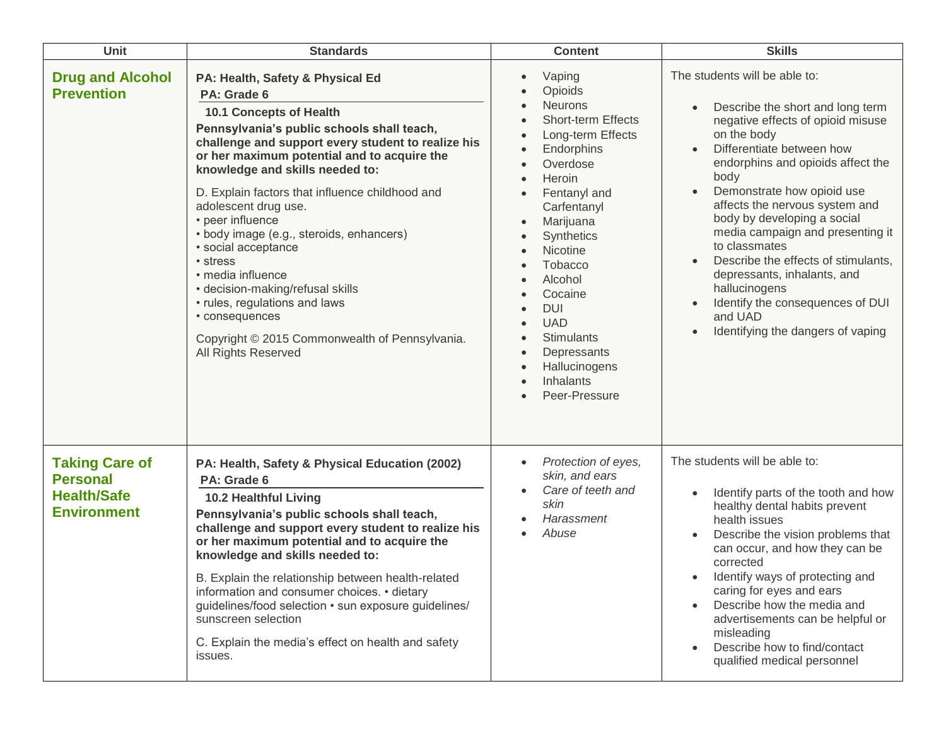| Unit                                                                                 | <b>Standards</b>                                                                                                                                                                                                                                                                                                                                                                                                                                                                                                                                                                                                                    | <b>Content</b>                                                                                                                                                                                                                                                                                                                                                             | <b>Skills</b>                                                                                                                                                                                                                                                                                                                                                                                                                                                                                                                                            |
|--------------------------------------------------------------------------------------|-------------------------------------------------------------------------------------------------------------------------------------------------------------------------------------------------------------------------------------------------------------------------------------------------------------------------------------------------------------------------------------------------------------------------------------------------------------------------------------------------------------------------------------------------------------------------------------------------------------------------------------|----------------------------------------------------------------------------------------------------------------------------------------------------------------------------------------------------------------------------------------------------------------------------------------------------------------------------------------------------------------------------|----------------------------------------------------------------------------------------------------------------------------------------------------------------------------------------------------------------------------------------------------------------------------------------------------------------------------------------------------------------------------------------------------------------------------------------------------------------------------------------------------------------------------------------------------------|
| <b>Drug and Alcohol</b><br><b>Prevention</b>                                         | PA: Health, Safety & Physical Ed<br>PA: Grade 6<br>10.1 Concepts of Health<br>Pennsylvania's public schools shall teach,<br>challenge and support every student to realize his<br>or her maximum potential and to acquire the<br>knowledge and skills needed to:<br>D. Explain factors that influence childhood and<br>adolescent drug use.<br>• peer influence<br>· body image (e.g., steroids, enhancers)<br>· social acceptance<br>• stress<br>· media influence<br>• decision-making/refusal skills<br>• rules, regulations and laws<br>• consequences<br>Copyright © 2015 Commonwealth of Pennsylvania.<br>All Rights Reserved | Vaping<br>$\bullet$<br>Opioids<br><b>Neurons</b><br><b>Short-term Effects</b><br>Long-term Effects<br>Endorphins<br>Overdose<br>Heroin<br>Fentanyl and<br>Carfentanyl<br>Marijuana<br>Synthetics<br>Nicotine<br><b>Tobacco</b><br>Alcohol<br>Cocaine<br><b>DUI</b><br><b>UAD</b><br><b>Stimulants</b><br>Depressants<br>Hallucinogens<br><b>Inhalants</b><br>Peer-Pressure | The students will be able to:<br>Describe the short and long term<br>$\bullet$<br>negative effects of opioid misuse<br>on the body<br>Differentiate between how<br>endorphins and opioids affect the<br>body<br>Demonstrate how opioid use<br>affects the nervous system and<br>body by developing a social<br>media campaign and presenting it<br>to classmates<br>Describe the effects of stimulants,<br>depressants, inhalants, and<br>hallucinogens<br>Identify the consequences of DUI<br>and UAD<br>Identifying the dangers of vaping<br>$\bullet$ |
| <b>Taking Care of</b><br><b>Personal</b><br><b>Health/Safe</b><br><b>Environment</b> | PA: Health, Safety & Physical Education (2002)<br>PA: Grade 6<br>10.2 Healthful Living<br>Pennsylvania's public schools shall teach,<br>challenge and support every student to realize his<br>or her maximum potential and to acquire the<br>knowledge and skills needed to:<br>B. Explain the relationship between health-related<br>information and consumer choices. • dietary<br>guidelines/food selection • sun exposure guidelines/<br>sunscreen selection<br>C. Explain the media's effect on health and safety<br>issues.                                                                                                   | Protection of eyes,<br>$\bullet$<br>skin, and ears<br>Care of teeth and<br>skin<br>Harassment<br>Abuse                                                                                                                                                                                                                                                                     | The students will be able to:<br>Identify parts of the tooth and how<br>$\bullet$<br>healthy dental habits prevent<br>health issues<br>Describe the vision problems that<br>can occur, and how they can be<br>corrected<br>Identify ways of protecting and<br>caring for eyes and ears<br>Describe how the media and<br>advertisements can be helpful or<br>misleading<br>Describe how to find/contact<br>qualified medical personnel                                                                                                                    |